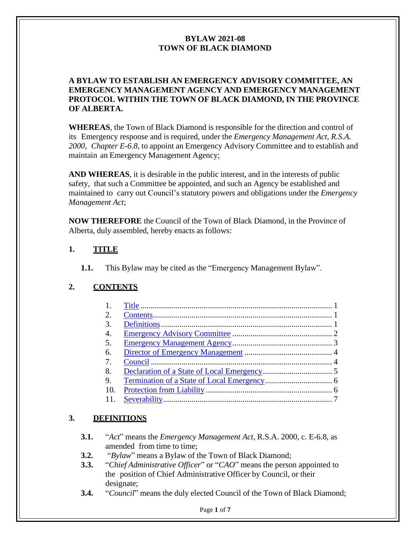#### **A BYLAW TO ESTABLISH AN EMERGENCY ADVISORY COMMITTEE, AN EMERGENCY MANAGEMENT AGENCY AND EMERGENCY MANAGEMENT PROTOCOL WITHIN THE TOWN OF BLACK DIAMOND, IN THE PROVINCE OF ALBERTA.**

**WHEREAS**, the Town of Black Diamond is responsible for the direction and control of its Emergency response and is required, under the *Emergency Management Act, R.S.A. 2000, Chapter E-6.8,* to appoint an Emergency Advisory Committee and to establish and maintain an Emergency Management Agency;

**AND WHEREAS**, it is desirable in the public interest, and in the interests of public safety, that such a Committee be appointed, and such an Agency be established and maintained to carry out Council's statutory powers and obligations under the *Emergency Management Act*;

**NOW THEREFORE** the Council of the Town of Black Diamond, in the Province of Alberta, duly assembled, hereby enacts as follows:

### <span id="page-0-0"></span>**1. TITLE**

**1.1.** This Bylaw may be cited as the "Emergency Management Bylaw".

# <span id="page-0-1"></span>**2. CONTENTS**

| 1.               |  |
|------------------|--|
| 2.               |  |
| 3.               |  |
| $\overline{4}$ . |  |
| 5.               |  |
| 6.               |  |
| 7.               |  |
| 8.               |  |
| 9.               |  |
| 10.              |  |
| 11.              |  |
|                  |  |

# <span id="page-0-2"></span>**3. DEFINITIONS**

- **3.1.** "*Act*" means the *Emergency Management Act*, R.S.A. 2000, c. E-6.8, as amended from time to time;
- **3.2.** "*Bylaw*" means a Bylaw of the Town of Black Diamond;
- **3.3.** "*Chief Administrative Officer*" or "*CAO*" means the person appointed to the position of Chief Administrative Officer by Council, or their designate;
- **3.4.** "*Council*" means the duly elected Council of the Town of Black Diamond;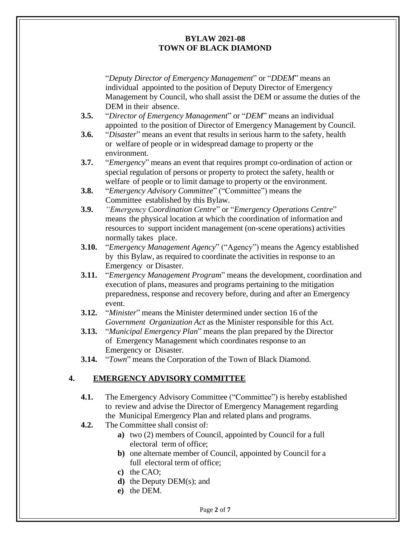"*Deputy Director of Emergency Management*" or "*DDEM*" means an individual appointed to the position of Deputy Director of Emergency Management by Council, who shall assist the DEM or assume the duties of the DEM in their absence.

- **3.5.** "*Director of Emergency Management*" or "*DEM*" means an individual appointed to the position of Director of Emergency Management by Council.
- **3.6.** "*Disaster*" means an event that results in serious harm to the safety, health or welfare of people or in widespread damage to property or the environment.
- **3.7.** "*Emergency*" means an event that requires prompt co-ordination of action or special regulation of persons or property to protect the safety, health or welfare of people or to limit damage to property or the environment.
- **3.8.** "*Emergency Advisory Committee*" ("Committee") means the Committee established by this Bylaw.
- **3.9.** *"Emergency Coordination Centre*" or "*Emergency Operations Centre*" means the physical location at which the coordination of information and resources to support incident management (on-scene operations) activities normally takes place.
- **3.10.** "*Emergency Management Agency*" ("Agency") means the Agency established by this Bylaw, as required to coordinate the activities in response to an Emergency or Disaster.
- **3.11.** "*Emergency Management Program*" means the development, coordination and execution of plans, measures and programs pertaining to the mitigation preparedness, response and recovery before, during and after an Emergency event.
- **3.12.** "*Minister*" means the Minister determined under section 16 of the *Government Organization Act* as the Minister responsible for this Act.
- **3.13.** "*Municipal Emergency Plan*" means the plan prepared by the Director of Emergency Management which coordinates response to an Emergency or Disaster.
- **3.14.** "*Town*" means the Corporation of the Town of Black Diamond.

# <span id="page-1-0"></span>**4. EMERGENCY ADVISORY COMMITTEE**

- **4.1.** The Emergency Advisory Committee ("Committee") is hereby established to review and advise the Director of Emergency Management regarding the Municipal Emergency Plan and related plans and programs.
- **4.2.** The Committee shall consist of:
	- **a)** two (2) members of Council, appointed by Council for a full electoral term of office;
	- **b)** one alternate member of Council, appointed by Council for a full electoral term of office;
	- **c)** the CAO;
	- **d)** the Deputy DEM(s); and
	- **e)** the DEM.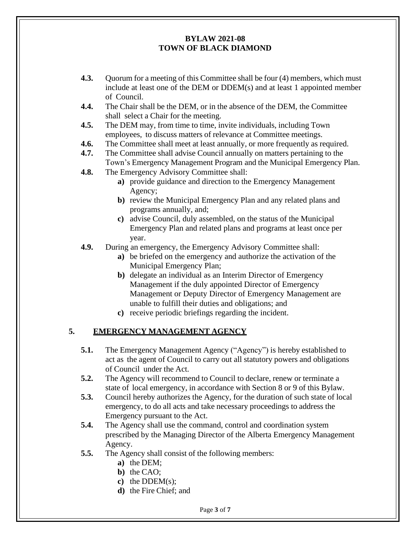- **4.3.** Quorum for a meeting of this Committee shall be four (4) members, which must include at least one of the DEM or DDEM(s) and at least 1 appointed member of Council.
- **4.4.** The Chair shall be the DEM, or in the absence of the DEM, the Committee shall select a Chair for the meeting.
- **4.5.** The DEM may, from time to time, invite individuals, including Town employees, to discuss matters of relevance at Committee meetings.
- **4.6.** The Committee shall meet at least annually, or more frequently as required.
- **4.7.** The Committee shall advise Council annually on matters pertaining to the Town's Emergency Management Program and the Municipal Emergency Plan.
- **4.8.** The Emergency Advisory Committee shall:
	- **a)** provide guidance and direction to the Emergency Management Agency;
	- **b)** review the Municipal Emergency Plan and any related plans and programs annually, and;
	- **c)** advise Council, duly assembled, on the status of the Municipal Emergency Plan and related plans and programs at least once per year.
- **4.9.** During an emergency, the Emergency Advisory Committee shall:
	- **a)** be briefed on the emergency and authorize the activation of the Municipal Emergency Plan;
	- **b)** delegate an individual as an Interim Director of Emergency Management if the duly appointed Director of Emergency Management or Deputy Director of Emergency Management are unable to fulfill their duties and obligations; and
	- **c)** receive periodic briefings regarding the incident.

### **5. EMERGENCY MANAGEMENT AGENCY**

- <span id="page-2-0"></span>**5.1.** The Emergency Management Agency ("Agency") is hereby established to act as the agent of Council to carry out all statutory powers and obligations of Council under the Act.
- **5.2.** The Agency will recommend to Council to declare, renew or terminate a state of local emergency, in accordance with Section 8 or 9 of this Bylaw.
- **5.3.** Council hereby authorizes the Agency, for the duration of such state of local emergency, to do all acts and take necessary proceedings to address the Emergency pursuant to the Act.
- **5.4.** The Agency shall use the command, control and coordination system prescribed by the Managing Director of the Alberta Emergency Management Agency.
- **5.5.** The Agency shall consist of the following members:
	- **a)** the DEM;
	- **b)** the CAO;
	- **c)** the DDEM(s);
	- **d)** the Fire Chief; and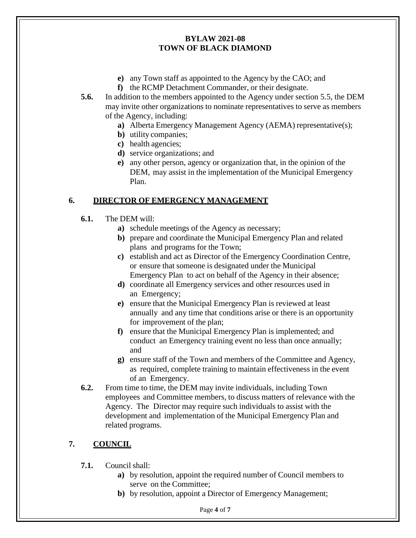- **e)** any Town staff as appointed to the Agency by the CAO; and
- **f)** the RCMP Detachment Commander, or their designate.
- **5.6.** In addition to the members appointed to the Agency under section 5.5, the DEM may invite other organizations to nominate representatives to serve as members of the Agency, including:
	- **a)** Alberta Emergency Management Agency (AEMA) representative(s);
	- **b)** utility companies;
	- **c)** health agencies;
	- **d)** service organizations; and
	- **e)** any other person, agency or organization that, in the opinion of the DEM, may assist in the implementation of the Municipal Emergency Plan.

### <span id="page-3-0"></span>**6. DIRECTOR OF EMERGENCY MANAGEMENT**

- **6.1.** The DEM will:
	- **a)** schedule meetings of the Agency as necessary;
	- **b)** prepare and coordinate the Municipal Emergency Plan and related plans and programs for the Town;
	- **c)** establish and act as Director of the Emergency Coordination Centre, or ensure that someone is designated under the Municipal Emergency Plan to act on behalf of the Agency in their absence;
	- **d)** coordinate all Emergency services and other resources used in an Emergency;
	- **e)** ensure that the Municipal Emergency Plan is reviewed at least annually and any time that conditions arise or there is an opportunity for improvement of the plan;
	- **f)** ensure that the Municipal Emergency Plan is implemented; and conduct an Emergency training event no less than once annually; and
	- **g)** ensure staff of the Town and members of the Committee and Agency, as required, complete training to maintain effectiveness in the event of an Emergency.
- **6.2.** From time to time, the DEM may invite individuals, including Town employees and Committee members, to discuss matters of relevance with the Agency. The Director may require such individuals to assist with the development and implementation of the Municipal Emergency Plan and related programs.

### <span id="page-3-1"></span>**7. COUNCIL**

- **7.1.** Council shall:
	- **a)** by resolution, appoint the required number of Council members to serve on the Committee;
	- **b**) by resolution, appoint a Director of Emergency Management;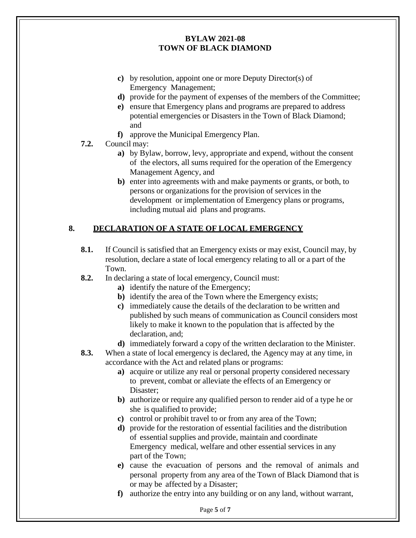- **c)** by resolution, appoint one or more Deputy Director(s) of Emergency Management;
- **d)** provide for the payment of expenses of the members of the Committee;
- **e)** ensure that Emergency plans and programs are prepared to address potential emergencies or Disasters in the Town of Black Diamond; and
- **f)** approve the Municipal Emergency Plan.
- **7.2.** Council may:
	- **a)** by Bylaw, borrow, levy, appropriate and expend, without the consent of the electors, all sums required for the operation of the Emergency Management Agency, and
	- **b)** enter into agreements with and make payments or grants, or both, to persons or organizations for the provision of services in the development or implementation of Emergency plans or programs, including mutual aid plans and programs.

# <span id="page-4-0"></span>**8. DECLARATION OF A STATE OF LOCAL EMERGENCY**

- **8.1.** If Council is satisfied that an Emergency exists or may exist, Council may, by resolution, declare a state of local emergency relating to all or a part of the Town.
- **8.2.** In declaring a state of local emergency, Council must:
	- **a)** identify the nature of the Emergency;
	- **b**) identify the area of the Town where the Emergency exists;
	- **c)** immediately cause the details of the declaration to be written and published by such means of communication as Council considers most likely to make it known to the population that is affected by the declaration, and;
	- **d)** immediately forward a copy of the written declaration to the Minister.
- **8.3.** When a state of local emergency is declared, the Agency may at any time, in accordance with the Act and related plans or programs:
	- **a)** acquire or utilize any real or personal property considered necessary to prevent, combat or alleviate the effects of an Emergency or Disaster;
	- **b)** authorize or require any qualified person to render aid of a type he or she is qualified to provide;
	- **c)** control or prohibit travel to or from any area of the Town;
	- **d)** provide for the restoration of essential facilities and the distribution of essential supplies and provide, maintain and coordinate Emergency medical, welfare and other essential services in any part of the Town;
	- **e)** cause the evacuation of persons and the removal of animals and personal property from any area of the Town of Black Diamond that is or may be affected by a Disaster;
	- **f)** authorize the entry into any building or on any land, without warrant,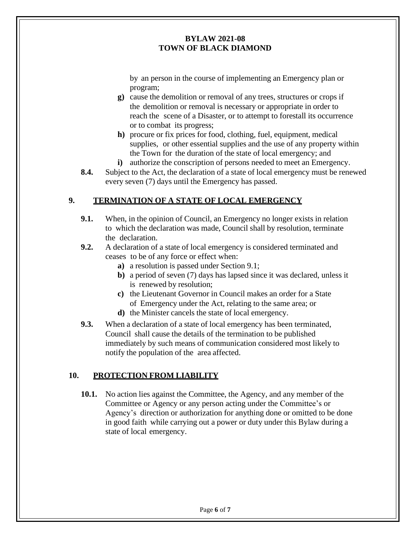by an person in the course of implementing an Emergency plan or program;

- **g)** cause the demolition or removal of any trees, structures or crops if the demolition or removal is necessary or appropriate in order to reach the scene of a Disaster, or to attempt to forestall its occurrence or to combat its progress;
- **h)** procure or fix prices for food, clothing, fuel, equipment, medical supplies, or other essential supplies and the use of any property within the Town for the duration of the state of local emergency; and
- **i)** authorize the conscription of persons needed to meet an Emergency.
- **8.4.** Subject to the Act, the declaration of a state of local emergency must be renewed every seven (7) days until the Emergency has passed.

### <span id="page-5-0"></span>**9. TERMINATION OF A STATE OF LOCAL EMERGENCY**

- **9.1.** When, in the opinion of Council, an Emergency no longer exists in relation to which the declaration was made, Council shall by resolution, terminate the declaration.
- **9.2.** A declaration of a state of local emergency is considered terminated and ceases to be of any force or effect when:
	- **a)** a resolution is passed under Section 9.1;
	- **b)** a period of seven (7) days has lapsed since it was declared, unless it is renewed by resolution;
	- **c)** the Lieutenant Governor in Council makes an order for a State of Emergency under the Act, relating to the same area; or
	- **d)** the Minister cancels the state of local emergency.
- **9.3.** When a declaration of a state of local emergency has been terminated, Council shall cause the details of the termination to be published immediately by such means of communication considered most likely to notify the population of the area affected.

### <span id="page-5-1"></span>**10. PROTECTION FROM LIABILITY**

**10.1.** No action lies against the Committee, the Agency, and any member of the Committee or Agency or any person acting under the Committee's or Agency's direction or authorization for anything done or omitted to be done in good faith while carrying out a power or duty under this Bylaw during a state of local emergency.